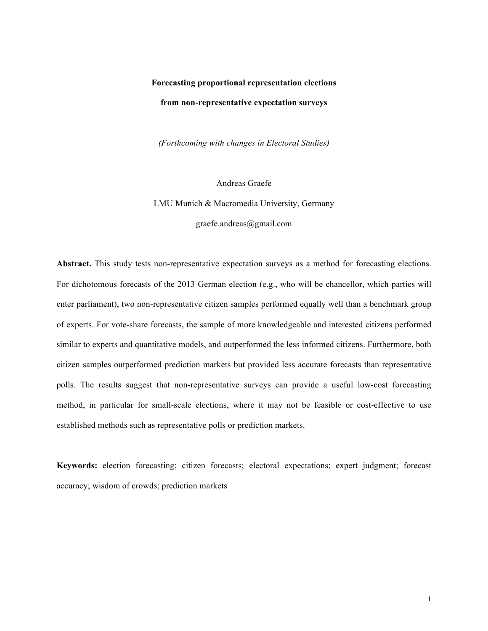# **Forecasting proportional representation elections from non-representative expectation surveys**

*(Forthcoming with changes in Electoral Studies)*

Andreas Graefe LMU Munich & Macromedia University, Germany graefe.andreas@gmail.com

**Abstract.** This study tests non-representative expectation surveys as a method for forecasting elections. For dichotomous forecasts of the 2013 German election (e.g., who will be chancellor, which parties will enter parliament), two non-representative citizen samples performed equally well than a benchmark group of experts. For vote-share forecasts, the sample of more knowledgeable and interested citizens performed similar to experts and quantitative models, and outperformed the less informed citizens. Furthermore, both citizen samples outperformed prediction markets but provided less accurate forecasts than representative polls. The results suggest that non-representative surveys can provide a useful low-cost forecasting method, in particular for small-scale elections, where it may not be feasible or cost-effective to use established methods such as representative polls or prediction markets.

**Keywords:** election forecasting; citizen forecasts; electoral expectations; expert judgment; forecast accuracy; wisdom of crowds; prediction markets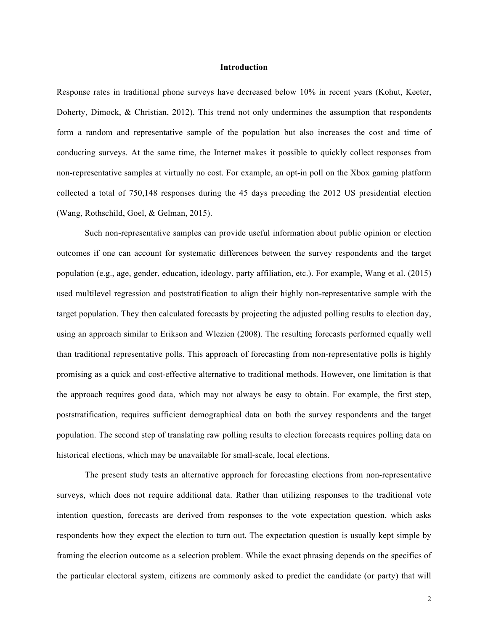### **Introduction**

Response rates in traditional phone surveys have decreased below 10% in recent years (Kohut, Keeter, Doherty, Dimock, & Christian, 2012). This trend not only undermines the assumption that respondents form a random and representative sample of the population but also increases the cost and time of conducting surveys. At the same time, the Internet makes it possible to quickly collect responses from non-representative samples at virtually no cost. For example, an opt-in poll on the Xbox gaming platform collected a total of 750,148 responses during the 45 days preceding the 2012 US presidential election (Wang, Rothschild, Goel, & Gelman, 2015).

Such non-representative samples can provide useful information about public opinion or election outcomes if one can account for systematic differences between the survey respondents and the target population (e.g., age, gender, education, ideology, party affiliation, etc.). For example, Wang et al. (2015) used multilevel regression and poststratification to align their highly non-representative sample with the target population. They then calculated forecasts by projecting the adjusted polling results to election day, using an approach similar to Erikson and Wlezien (2008). The resulting forecasts performed equally well than traditional representative polls. This approach of forecasting from non-representative polls is highly promising as a quick and cost-effective alternative to traditional methods. However, one limitation is that the approach requires good data, which may not always be easy to obtain. For example, the first step, poststratification, requires sufficient demographical data on both the survey respondents and the target population. The second step of translating raw polling results to election forecasts requires polling data on historical elections, which may be unavailable for small-scale, local elections.

The present study tests an alternative approach for forecasting elections from non-representative surveys, which does not require additional data. Rather than utilizing responses to the traditional vote intention question, forecasts are derived from responses to the vote expectation question, which asks respondents how they expect the election to turn out. The expectation question is usually kept simple by framing the election outcome as a selection problem. While the exact phrasing depends on the specifics of the particular electoral system, citizens are commonly asked to predict the candidate (or party) that will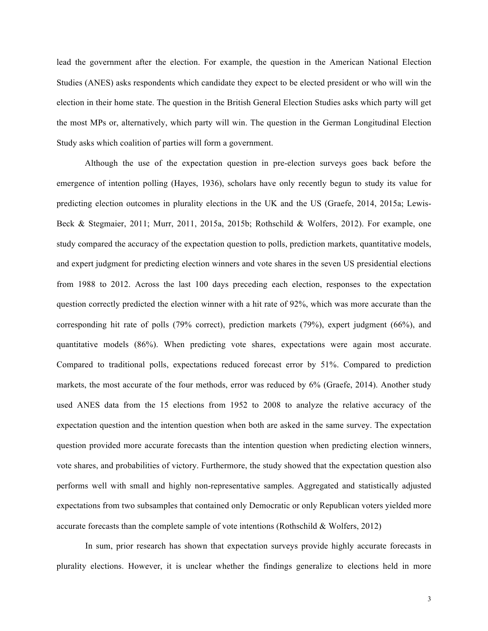lead the government after the election. For example, the question in the American National Election Studies (ANES) asks respondents which candidate they expect to be elected president or who will win the election in their home state. The question in the British General Election Studies asks which party will get the most MPs or, alternatively, which party will win. The question in the German Longitudinal Election Study asks which coalition of parties will form a government.

Although the use of the expectation question in pre-election surveys goes back before the emergence of intention polling (Hayes, 1936), scholars have only recently begun to study its value for predicting election outcomes in plurality elections in the UK and the US (Graefe, 2014, 2015a; Lewis-Beck & Stegmaier, 2011; Murr, 2011, 2015a, 2015b; Rothschild & Wolfers, 2012). For example, one study compared the accuracy of the expectation question to polls, prediction markets, quantitative models, and expert judgment for predicting election winners and vote shares in the seven US presidential elections from 1988 to 2012. Across the last 100 days preceding each election, responses to the expectation question correctly predicted the election winner with a hit rate of 92%, which was more accurate than the corresponding hit rate of polls (79% correct), prediction markets (79%), expert judgment (66%), and quantitative models (86%). When predicting vote shares, expectations were again most accurate. Compared to traditional polls, expectations reduced forecast error by 51%. Compared to prediction markets, the most accurate of the four methods, error was reduced by 6% (Graefe, 2014). Another study used ANES data from the 15 elections from 1952 to 2008 to analyze the relative accuracy of the expectation question and the intention question when both are asked in the same survey. The expectation question provided more accurate forecasts than the intention question when predicting election winners, vote shares, and probabilities of victory. Furthermore, the study showed that the expectation question also performs well with small and highly non-representative samples. Aggregated and statistically adjusted expectations from two subsamples that contained only Democratic or only Republican voters yielded more accurate forecasts than the complete sample of vote intentions (Rothschild & Wolfers, 2012)

In sum, prior research has shown that expectation surveys provide highly accurate forecasts in plurality elections. However, it is unclear whether the findings generalize to elections held in more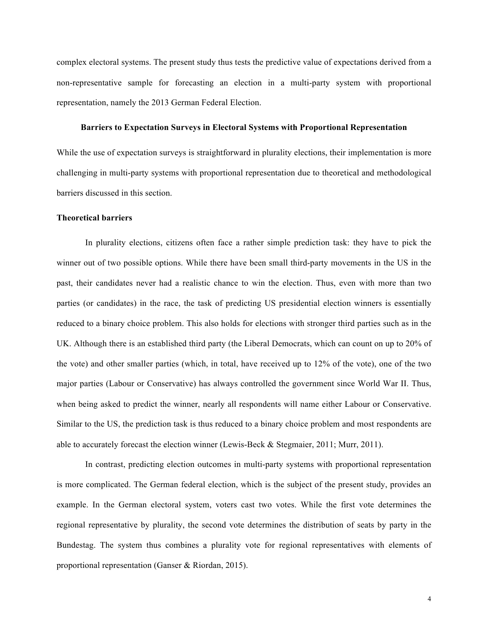complex electoral systems. The present study thus tests the predictive value of expectations derived from a non-representative sample for forecasting an election in a multi-party system with proportional representation, namely the 2013 German Federal Election.

# **Barriers to Expectation Surveys in Electoral Systems with Proportional Representation**

While the use of expectation surveys is straightforward in plurality elections, their implementation is more challenging in multi-party systems with proportional representation due to theoretical and methodological barriers discussed in this section.

#### **Theoretical barriers**

In plurality elections, citizens often face a rather simple prediction task: they have to pick the winner out of two possible options. While there have been small third-party movements in the US in the past, their candidates never had a realistic chance to win the election. Thus, even with more than two parties (or candidates) in the race, the task of predicting US presidential election winners is essentially reduced to a binary choice problem. This also holds for elections with stronger third parties such as in the UK. Although there is an established third party (the Liberal Democrats, which can count on up to 20% of the vote) and other smaller parties (which, in total, have received up to 12% of the vote), one of the two major parties (Labour or Conservative) has always controlled the government since World War II. Thus, when being asked to predict the winner, nearly all respondents will name either Labour or Conservative. Similar to the US, the prediction task is thus reduced to a binary choice problem and most respondents are able to accurately forecast the election winner (Lewis-Beck & Stegmaier, 2011; Murr, 2011).

In contrast, predicting election outcomes in multi-party systems with proportional representation is more complicated. The German federal election, which is the subject of the present study, provides an example. In the German electoral system, voters cast two votes. While the first vote determines the regional representative by plurality, the second vote determines the distribution of seats by party in the Bundestag. The system thus combines a plurality vote for regional representatives with elements of proportional representation (Ganser & Riordan, 2015).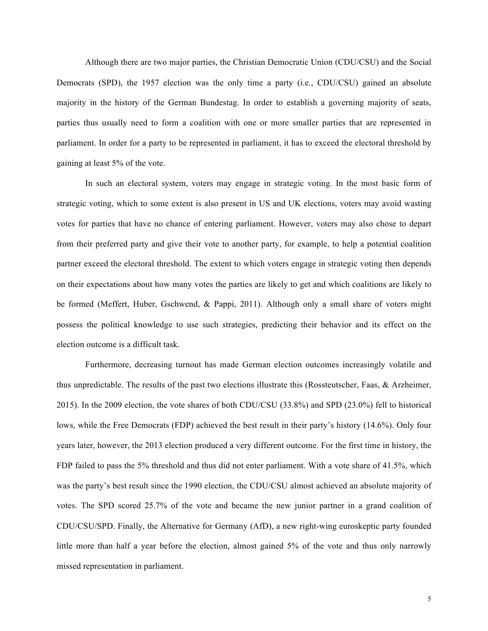Although there are two major parties, the Christian Democratic Union (CDU/CSU) and the Social Democrats (SPD), the 1957 election was the only time a party (i.e., CDU/CSU) gained an absolute majority in the history of the German Bundestag. In order to establish a governing majority of seats, parties thus usually need to form a coalition with one or more smaller parties that are represented in parliament. In order for a party to be represented in parliament, it has to exceed the electoral threshold by gaining at least 5% of the vote.

In such an electoral system, voters may engage in strategic voting. In the most basic form of strategic voting, which to some extent is also present in US and UK elections, voters may avoid wasting votes for parties that have no chance of entering parliament. However, voters may also chose to depart from their preferred party and give their vote to another party, for example, to help a potential coalition partner exceed the electoral threshold. The extent to which voters engage in strategic voting then depends on their expectations about how many votes the parties are likely to get and which coalitions are likely to be formed (Meffert, Huber, Gschwend, & Pappi, 2011). Although only a small share of voters might possess the political knowledge to use such strategies, predicting their behavior and its effect on the election outcome is a difficult task.

Furthermore, decreasing turnout has made German election outcomes increasingly volatile and thus unpredictable. The results of the past two elections illustrate this (Rossteutscher, Faas,  $\&$  Arzheimer, 2015). In the 2009 election, the vote shares of both CDU/CSU (33.8%) and SPD (23.0%) fell to historical lows, while the Free Democrats (FDP) achieved the best result in their party's history (14.6%). Only four years later, however, the 2013 election produced a very different outcome. For the first time in history, the FDP failed to pass the 5% threshold and thus did not enter parliament. With a vote share of 41.5%, which was the party's best result since the 1990 election, the CDU/CSU almost achieved an absolute majority of votes. The SPD scored 25.7% of the vote and became the new junior partner in a grand coalition of CDU/CSU/SPD. Finally, the Alternative for Germany (AfD), a new right-wing euroskeptic party founded little more than half a year before the election, almost gained 5% of the vote and thus only narrowly missed representation in parliament.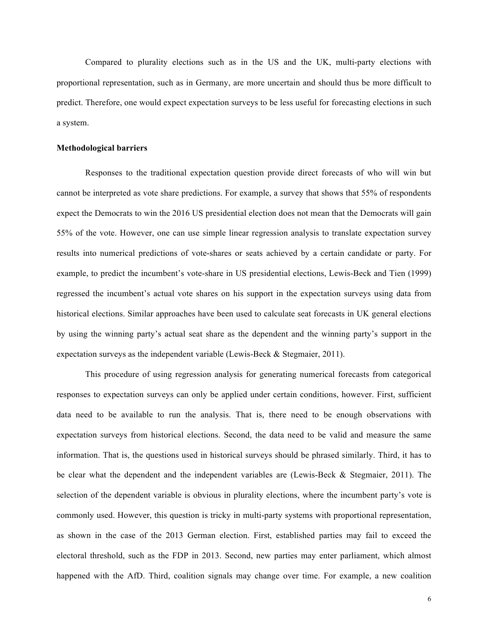Compared to plurality elections such as in the US and the UK, multi-party elections with proportional representation, such as in Germany, are more uncertain and should thus be more difficult to predict. Therefore, one would expect expectation surveys to be less useful for forecasting elections in such a system.

#### **Methodological barriers**

Responses to the traditional expectation question provide direct forecasts of who will win but cannot be interpreted as vote share predictions. For example, a survey that shows that 55% of respondents expect the Democrats to win the 2016 US presidential election does not mean that the Democrats will gain 55% of the vote. However, one can use simple linear regression analysis to translate expectation survey results into numerical predictions of vote-shares or seats achieved by a certain candidate or party. For example, to predict the incumbent's vote-share in US presidential elections, Lewis-Beck and Tien (1999) regressed the incumbent's actual vote shares on his support in the expectation surveys using data from historical elections. Similar approaches have been used to calculate seat forecasts in UK general elections by using the winning party's actual seat share as the dependent and the winning party's support in the expectation surveys as the independent variable (Lewis-Beck & Stegmaier, 2011).

This procedure of using regression analysis for generating numerical forecasts from categorical responses to expectation surveys can only be applied under certain conditions, however. First, sufficient data need to be available to run the analysis. That is, there need to be enough observations with expectation surveys from historical elections. Second, the data need to be valid and measure the same information. That is, the questions used in historical surveys should be phrased similarly. Third, it has to be clear what the dependent and the independent variables are (Lewis-Beck & Stegmaier, 2011). The selection of the dependent variable is obvious in plurality elections, where the incumbent party's vote is commonly used. However, this question is tricky in multi-party systems with proportional representation, as shown in the case of the 2013 German election. First, established parties may fail to exceed the electoral threshold, such as the FDP in 2013. Second, new parties may enter parliament, which almost happened with the AfD. Third, coalition signals may change over time. For example, a new coalition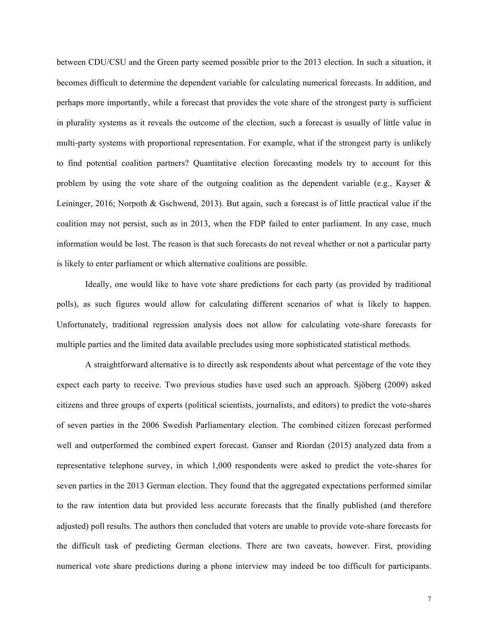between CDU/CSU and the Green party seemed possible prior to the 2013 election. In such a situation, it becomes difficult to determine the dependent variable for calculating numerical forecasts. In addition, and perhaps more importantly, while a forecast that provides the vote share of the strongest party is sufficient in plurality systems as it reveals the outcome of the election, such a forecast is usually of little value in multi-party systems with proportional representation. For example, what if the strongest party is unlikely to find potential coalition partners? Quantitative election forecasting models try to account for this problem by using the vote share of the outgoing coalition as the dependent variable (e.g., Kayser & Leininger, 2016; Norpoth & Gschwend, 2013). But again, such a forecast is of little practical value if the coalition may not persist, such as in 2013, when the FDP failed to enter parliament. In any case, much information would be lost. The reason is that such forecasts do not reveal whether or not a particular party is likely to enter parliament or which alternative coalitions are possible.

Ideally, one would like to have vote share predictions for each party (as provided by traditional polls), as such figures would allow for calculating different scenarios of what is likely to happen. Unfortunately, traditional regression analysis does not allow for calculating vote-share forecasts for multiple parties and the limited data available precludes using more sophisticated statistical methods.

A straightforward alternative is to directly ask respondents about what percentage of the vote they expect each party to receive. Two previous studies have used such an approach. Sjöberg (2009) asked citizens and three groups of experts (political scientists, journalists, and editors) to predict the vote-shares of seven parties in the 2006 Swedish Parliamentary election. The combined citizen forecast performed well and outperformed the combined expert forecast. Ganser and Riordan (2015) analyzed data from a representative telephone survey, in which 1,000 respondents were asked to predict the vote-shares for seven parties in the 2013 German election. They found that the aggregated expectations performed similar to the raw intention data but provided less accurate forecasts that the finally published (and therefore adjusted) poll results. The authors then concluded that voters are unable to provide vote-share forecasts for the difficult task of predicting German elections. There are two caveats, however. First, providing numerical vote share predictions during a phone interview may indeed be too difficult for participants.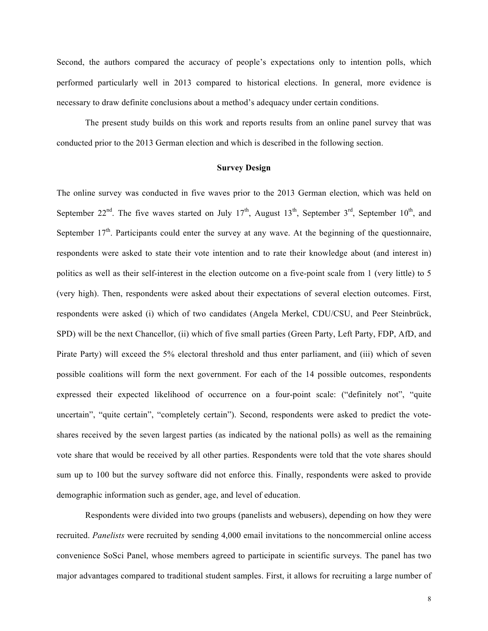Second, the authors compared the accuracy of people's expectations only to intention polls, which performed particularly well in 2013 compared to historical elections. In general, more evidence is necessary to draw definite conclusions about a method's adequacy under certain conditions.

The present study builds on this work and reports results from an online panel survey that was conducted prior to the 2013 German election and which is described in the following section.

# **Survey Design**

The online survey was conducted in five waves prior to the 2013 German election, which was held on September  $22<sup>nd</sup>$ . The five waves started on July 17<sup>th</sup>, August 13<sup>th</sup>, September 3<sup>rd</sup>, September 10<sup>th</sup>, and September  $17<sup>th</sup>$ . Participants could enter the survey at any wave. At the beginning of the questionnaire, respondents were asked to state their vote intention and to rate their knowledge about (and interest in) politics as well as their self-interest in the election outcome on a five-point scale from 1 (very little) to 5 (very high). Then, respondents were asked about their expectations of several election outcomes. First, respondents were asked (i) which of two candidates (Angela Merkel, CDU/CSU, and Peer Steinbrück, SPD) will be the next Chancellor, (ii) which of five small parties (Green Party, Left Party, FDP, AfD, and Pirate Party) will exceed the 5% electoral threshold and thus enter parliament, and (iii) which of seven possible coalitions will form the next government. For each of the 14 possible outcomes, respondents expressed their expected likelihood of occurrence on a four-point scale: ("definitely not", "quite uncertain", "quite certain", "completely certain"). Second, respondents were asked to predict the voteshares received by the seven largest parties (as indicated by the national polls) as well as the remaining vote share that would be received by all other parties. Respondents were told that the vote shares should sum up to 100 but the survey software did not enforce this. Finally, respondents were asked to provide demographic information such as gender, age, and level of education.

Respondents were divided into two groups (panelists and webusers), depending on how they were recruited. *Panelists* were recruited by sending 4,000 email invitations to the noncommercial online access convenience SoSci Panel, whose members agreed to participate in scientific surveys. The panel has two major advantages compared to traditional student samples. First, it allows for recruiting a large number of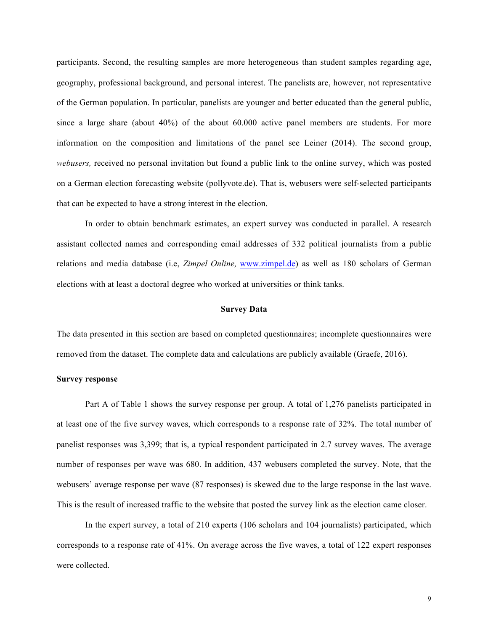participants. Second, the resulting samples are more heterogeneous than student samples regarding age, geography, professional background, and personal interest. The panelists are, however, not representative of the German population. In particular, panelists are younger and better educated than the general public, since a large share (about 40%) of the about 60.000 active panel members are students. For more information on the composition and limitations of the panel see Leiner (2014). The second group, *webusers,* received no personal invitation but found a public link to the online survey, which was posted on a German election forecasting website (pollyvote.de). That is, webusers were self-selected participants that can be expected to have a strong interest in the election.

In order to obtain benchmark estimates, an expert survey was conducted in parallel. A research assistant collected names and corresponding email addresses of 332 political journalists from a public relations and media database (i.e, *Zimpel Online,* www.zimpel.de) as well as 180 scholars of German elections with at least a doctoral degree who worked at universities or think tanks.

### **Survey Data**

The data presented in this section are based on completed questionnaires; incomplete questionnaires were removed from the dataset. The complete data and calculations are publicly available (Graefe, 2016).

## **Survey response**

Part A of Table 1 shows the survey response per group. A total of 1,276 panelists participated in at least one of the five survey waves, which corresponds to a response rate of 32%. The total number of panelist responses was 3,399; that is, a typical respondent participated in 2.7 survey waves. The average number of responses per wave was 680. In addition, 437 webusers completed the survey. Note, that the webusers' average response per wave (87 responses) is skewed due to the large response in the last wave. This is the result of increased traffic to the website that posted the survey link as the election came closer.

In the expert survey, a total of 210 experts (106 scholars and 104 journalists) participated, which corresponds to a response rate of 41%. On average across the five waves, a total of 122 expert responses were collected.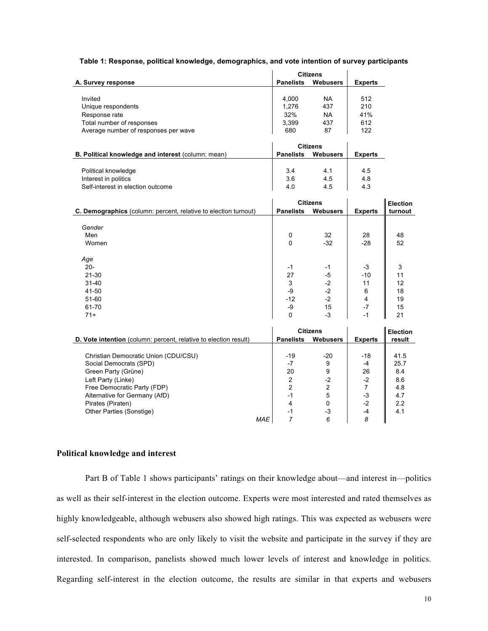# **Table 1: Response, political knowledge, demographics, and vote intention of survey participants**

|                                                                  | <b>Citizens</b>  |                 |                |                 |
|------------------------------------------------------------------|------------------|-----------------|----------------|-----------------|
| A. Survey response                                               | <b>Panelists</b> | <b>Webusers</b> | <b>Experts</b> |                 |
|                                                                  |                  |                 |                |                 |
| Invited                                                          | 4,000            | NA              | 512            |                 |
| Unique respondents                                               | 1,276            | 437             | 210            |                 |
| Response rate                                                    | 32%              | <b>NA</b>       | 41%            |                 |
| Total number of responses                                        | 3,399            | 437             | 612            |                 |
| Average number of responses per wave                             | 680              | 87              | 122            |                 |
|                                                                  |                  |                 |                |                 |
|                                                                  | <b>Citizens</b>  |                 |                |                 |
| B. Political knowledge and interest (column: mean)               | <b>Panelists</b> | <b>Webusers</b> | <b>Experts</b> |                 |
|                                                                  |                  |                 |                |                 |
| Political knowledge                                              | 3.4              | 4.1             | 4.5            |                 |
| Interest in politics                                             | 3.6              | 4.5             | 4.8            |                 |
| Self-interest in election outcome                                | 4.0              | 4.5             | 4.3            |                 |
|                                                                  |                  |                 |                |                 |
|                                                                  | <b>Citizens</b>  |                 |                | <b>Election</b> |
| C. Demographics (column: percent, relative to election turnout)  | <b>Panelists</b> | <b>Webusers</b> | <b>Experts</b> | turnout         |
|                                                                  |                  |                 |                |                 |
| Gender                                                           |                  |                 |                |                 |
| Men                                                              | 0                | 32              | 28             | 48              |
| Women                                                            | 0                | $-32$           | $-28$          | 52              |
|                                                                  |                  |                 |                |                 |
| Age                                                              |                  |                 |                |                 |
| $20 -$                                                           | $-1$             | -1              | -3             | 3               |
| 21-30                                                            | 27               | -5              | $-10$          | 11              |
| $31 - 40$                                                        | 3                | $-2$            | 11             | 12              |
| 41-50                                                            | -9               | $-2$            | 6              | 18              |
| 51-60                                                            | $-12$            | $-2$            | $\overline{4}$ | 19              |
| 61-70                                                            | -9               | 15              | $-7$           | 15              |
| $71+$                                                            | $\Omega$         | $-3$            | $-1$           | 21              |
|                                                                  |                  |                 |                |                 |
|                                                                  | <b>Citizens</b>  |                 |                | <b>Election</b> |
| D. Vote intention (column: percent, relative to election result) | <b>Panelists</b> | <b>Webusers</b> | <b>Experts</b> | result          |
|                                                                  |                  |                 |                |                 |
| Christian Democratic Union (CDU/CSU)                             | $-19$            | $-20$           | $-18$          | 41.5            |
| Social Democrats (SPD)                                           | $-7$             | 9               | $-4$           | 25.7            |
| Green Party (Grüne)                                              | 20               | 9               | 26             | 8.4             |
| Left Party (Linke)                                               | $\overline{2}$   | $-2$            | $-2$           | 8.6             |
| Free Democratic Party (FDP)                                      | 2                | 2               | $\overline{7}$ | 4.8             |
| Alternative for Germany (AfD)                                    | $-1$             | 5               | $-3$           | 4.7             |
| Pirates (Piraten)                                                | 4                | 0               | $-2$           | 2.2             |
| Other Parties (Sonstige)                                         | $-1$             | $-3$            | -4             | 4.1             |
| <b>MAE</b>                                                       | 7                | 6               | 8              |                 |

# **Political knowledge and interest**

Part B of Table 1 shows participants' ratings on their knowledge about—and interest in—politics as well as their self-interest in the election outcome. Experts were most interested and rated themselves as highly knowledgeable, although webusers also showed high ratings. This was expected as webusers were self-selected respondents who are only likely to visit the website and participate in the survey if they are interested. In comparison, panelists showed much lower levels of interest and knowledge in politics. Regarding self-interest in the election outcome, the results are similar in that experts and webusers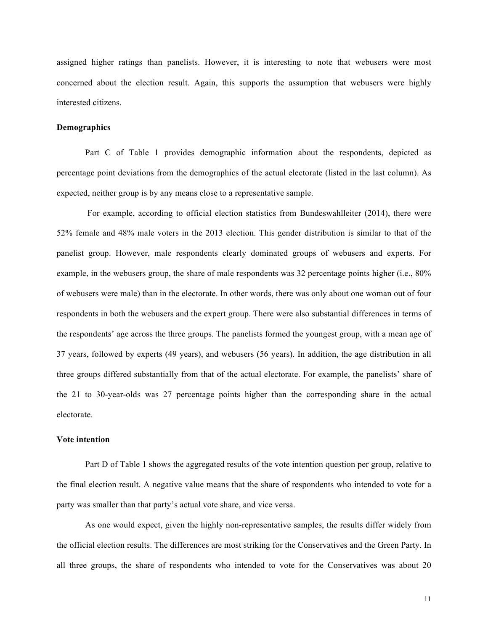assigned higher ratings than panelists. However, it is interesting to note that webusers were most concerned about the election result. Again, this supports the assumption that webusers were highly interested citizens.

## **Demographics**

Part C of Table 1 provides demographic information about the respondents, depicted as percentage point deviations from the demographics of the actual electorate (listed in the last column). As expected, neither group is by any means close to a representative sample.

For example, according to official election statistics from Bundeswahlleiter (2014), there were 52% female and 48% male voters in the 2013 election. This gender distribution is similar to that of the panelist group. However, male respondents clearly dominated groups of webusers and experts. For example, in the webusers group, the share of male respondents was 32 percentage points higher (i.e., 80% of webusers were male) than in the electorate. In other words, there was only about one woman out of four respondents in both the webusers and the expert group. There were also substantial differences in terms of the respondents' age across the three groups. The panelists formed the youngest group, with a mean age of 37 years, followed by experts (49 years), and webusers (56 years). In addition, the age distribution in all three groups differed substantially from that of the actual electorate. For example, the panelists' share of the 21 to 30-year-olds was 27 percentage points higher than the corresponding share in the actual electorate.

#### **Vote intention**

Part D of Table 1 shows the aggregated results of the vote intention question per group, relative to the final election result. A negative value means that the share of respondents who intended to vote for a party was smaller than that party's actual vote share, and vice versa.

As one would expect, given the highly non-representative samples, the results differ widely from the official election results. The differences are most striking for the Conservatives and the Green Party. In all three groups, the share of respondents who intended to vote for the Conservatives was about 20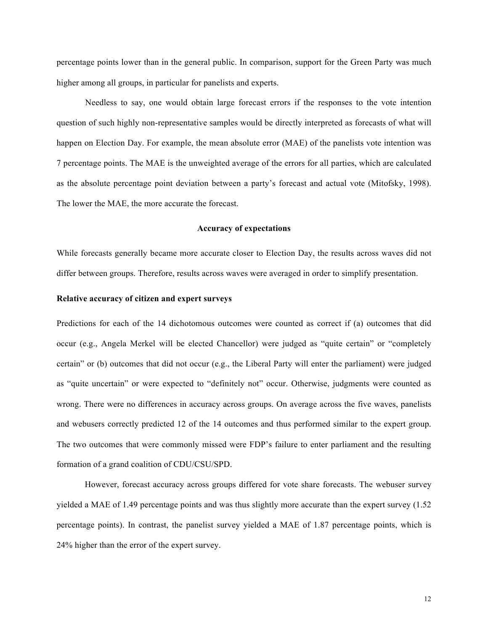percentage points lower than in the general public. In comparison, support for the Green Party was much higher among all groups, in particular for panelists and experts.

Needless to say, one would obtain large forecast errors if the responses to the vote intention question of such highly non-representative samples would be directly interpreted as forecasts of what will happen on Election Day. For example, the mean absolute error (MAE) of the panelists vote intention was 7 percentage points. The MAE is the unweighted average of the errors for all parties, which are calculated as the absolute percentage point deviation between a party's forecast and actual vote (Mitofsky, 1998). The lower the MAE, the more accurate the forecast.

## **Accuracy of expectations**

While forecasts generally became more accurate closer to Election Day, the results across waves did not differ between groups. Therefore, results across waves were averaged in order to simplify presentation.

### **Relative accuracy of citizen and expert surveys**

Predictions for each of the 14 dichotomous outcomes were counted as correct if (a) outcomes that did occur (e.g., Angela Merkel will be elected Chancellor) were judged as "quite certain" or "completely certain" or (b) outcomes that did not occur (e.g., the Liberal Party will enter the parliament) were judged as "quite uncertain" or were expected to "definitely not" occur. Otherwise, judgments were counted as wrong. There were no differences in accuracy across groups. On average across the five waves, panelists and webusers correctly predicted 12 of the 14 outcomes and thus performed similar to the expert group. The two outcomes that were commonly missed were FDP's failure to enter parliament and the resulting formation of a grand coalition of CDU/CSU/SPD.

However, forecast accuracy across groups differed for vote share forecasts. The webuser survey yielded a MAE of 1.49 percentage points and was thus slightly more accurate than the expert survey (1.52 percentage points). In contrast, the panelist survey yielded a MAE of 1.87 percentage points, which is 24% higher than the error of the expert survey.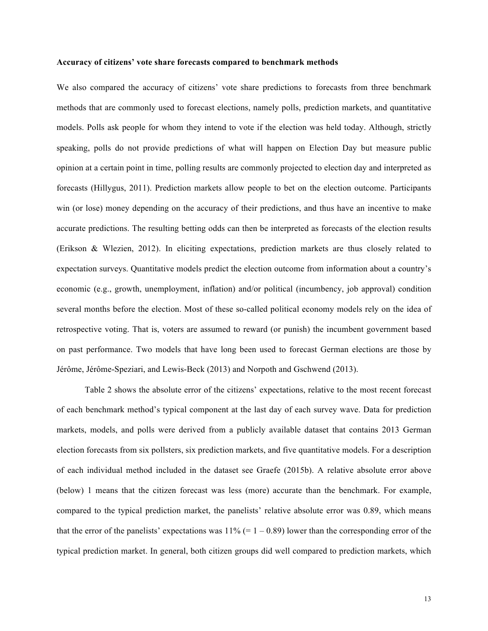#### **Accuracy of citizens' vote share forecasts compared to benchmark methods**

We also compared the accuracy of citizens' vote share predictions to forecasts from three benchmark methods that are commonly used to forecast elections, namely polls, prediction markets, and quantitative models. Polls ask people for whom they intend to vote if the election was held today. Although, strictly speaking, polls do not provide predictions of what will happen on Election Day but measure public opinion at a certain point in time, polling results are commonly projected to election day and interpreted as forecasts (Hillygus, 2011). Prediction markets allow people to bet on the election outcome. Participants win (or lose) money depending on the accuracy of their predictions, and thus have an incentive to make accurate predictions. The resulting betting odds can then be interpreted as forecasts of the election results (Erikson & Wlezien, 2012). In eliciting expectations, prediction markets are thus closely related to expectation surveys. Quantitative models predict the election outcome from information about a country's economic (e.g., growth, unemployment, inflation) and/or political (incumbency, job approval) condition several months before the election. Most of these so-called political economy models rely on the idea of retrospective voting. That is, voters are assumed to reward (or punish) the incumbent government based on past performance. Two models that have long been used to forecast German elections are those by Jérôme, Jérôme-Speziari, and Lewis-Beck (2013) and Norpoth and Gschwend (2013).

Table 2 shows the absolute error of the citizens' expectations, relative to the most recent forecast of each benchmark method's typical component at the last day of each survey wave. Data for prediction markets, models, and polls were derived from a publicly available dataset that contains 2013 German election forecasts from six pollsters, six prediction markets, and five quantitative models. For a description of each individual method included in the dataset see Graefe (2015b). A relative absolute error above (below) 1 means that the citizen forecast was less (more) accurate than the benchmark. For example, compared to the typical prediction market, the panelists' relative absolute error was 0.89, which means that the error of the panelists' expectations was  $11\%$  (= 1 – 0.89) lower than the corresponding error of the typical prediction market. In general, both citizen groups did well compared to prediction markets, which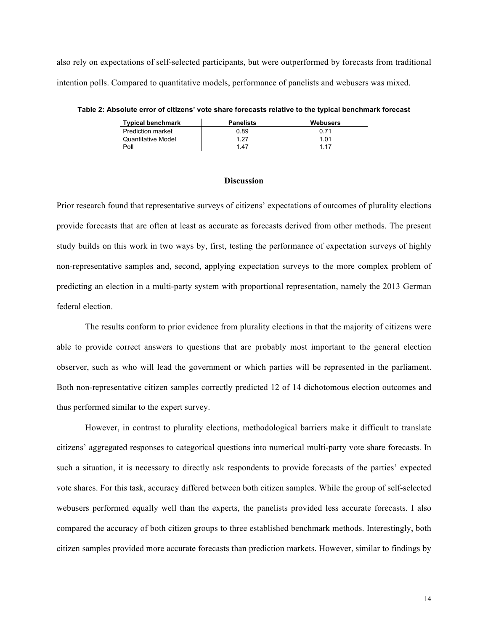also rely on expectations of self-selected participants, but were outperformed by forecasts from traditional intention polls. Compared to quantitative models, performance of panelists and webusers was mixed.

**Table 2: Absolute error of citizens' vote share forecasts relative to the typical benchmark forecast**

| <b>Typical benchmark</b> | <b>Panelists</b> | Webusers |
|--------------------------|------------------|----------|
| <b>Prediction market</b> | 0.89             | 0.71     |
| Quantitative Model       | 1 27             | 1 01     |
| Poll                     | 147              | 1 1 7    |

#### **Discussion**

Prior research found that representative surveys of citizens' expectations of outcomes of plurality elections provide forecasts that are often at least as accurate as forecasts derived from other methods. The present study builds on this work in two ways by, first, testing the performance of expectation surveys of highly non-representative samples and, second, applying expectation surveys to the more complex problem of predicting an election in a multi-party system with proportional representation, namely the 2013 German federal election.

The results conform to prior evidence from plurality elections in that the majority of citizens were able to provide correct answers to questions that are probably most important to the general election observer, such as who will lead the government or which parties will be represented in the parliament. Both non-representative citizen samples correctly predicted 12 of 14 dichotomous election outcomes and thus performed similar to the expert survey.

However, in contrast to plurality elections, methodological barriers make it difficult to translate citizens' aggregated responses to categorical questions into numerical multi-party vote share forecasts. In such a situation, it is necessary to directly ask respondents to provide forecasts of the parties' expected vote shares. For this task, accuracy differed between both citizen samples. While the group of self-selected webusers performed equally well than the experts, the panelists provided less accurate forecasts. I also compared the accuracy of both citizen groups to three established benchmark methods. Interestingly, both citizen samples provided more accurate forecasts than prediction markets. However, similar to findings by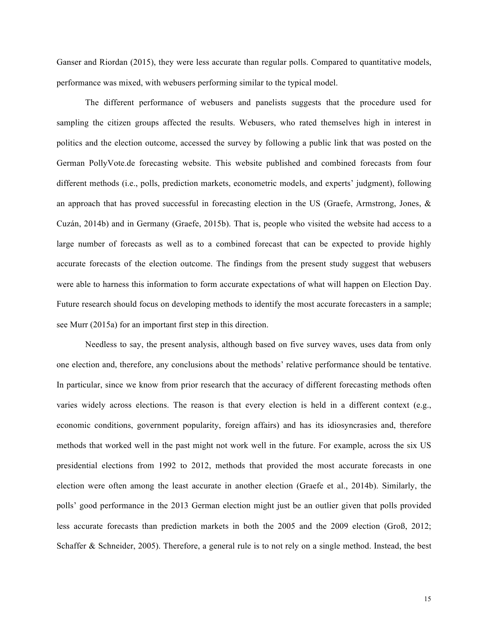Ganser and Riordan (2015), they were less accurate than regular polls. Compared to quantitative models, performance was mixed, with webusers performing similar to the typical model.

The different performance of webusers and panelists suggests that the procedure used for sampling the citizen groups affected the results. Webusers, who rated themselves high in interest in politics and the election outcome, accessed the survey by following a public link that was posted on the German PollyVote.de forecasting website. This website published and combined forecasts from four different methods (i.e., polls, prediction markets, econometric models, and experts' judgment), following an approach that has proved successful in forecasting election in the US (Graefe, Armstrong, Jones, & Cuzán, 2014b) and in Germany (Graefe, 2015b). That is, people who visited the website had access to a large number of forecasts as well as to a combined forecast that can be expected to provide highly accurate forecasts of the election outcome. The findings from the present study suggest that webusers were able to harness this information to form accurate expectations of what will happen on Election Day. Future research should focus on developing methods to identify the most accurate forecasters in a sample; see Murr (2015a) for an important first step in this direction.

Needless to say, the present analysis, although based on five survey waves, uses data from only one election and, therefore, any conclusions about the methods' relative performance should be tentative. In particular, since we know from prior research that the accuracy of different forecasting methods often varies widely across elections. The reason is that every election is held in a different context (e.g., economic conditions, government popularity, foreign affairs) and has its idiosyncrasies and, therefore methods that worked well in the past might not work well in the future. For example, across the six US presidential elections from 1992 to 2012, methods that provided the most accurate forecasts in one election were often among the least accurate in another election (Graefe et al., 2014b). Similarly, the polls' good performance in the 2013 German election might just be an outlier given that polls provided less accurate forecasts than prediction markets in both the 2005 and the 2009 election (Groß, 2012; Schaffer & Schneider, 2005). Therefore, a general rule is to not rely on a single method. Instead, the best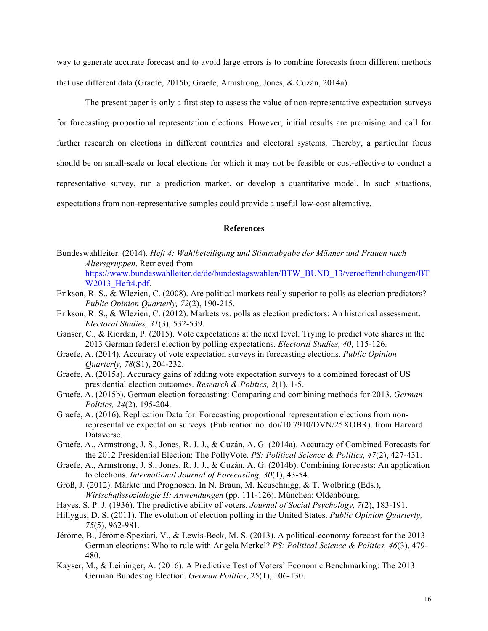way to generate accurate forecast and to avoid large errors is to combine forecasts from different methods that use different data (Graefe, 2015b; Graefe, Armstrong, Jones, & Cuzán, 2014a).

The present paper is only a first step to assess the value of non-representative expectation surveys for forecasting proportional representation elections. However, initial results are promising and call for further research on elections in different countries and electoral systems. Thereby, a particular focus should be on small-scale or local elections for which it may not be feasible or cost-effective to conduct a representative survey, run a prediction market, or develop a quantitative model. In such situations, expectations from non-representative samples could provide a useful low-cost alternative.

# **References**

- Bundeswahlleiter. (2014). *Heft 4: Wahlbeteiligung und Stimmabgabe der Männer und Frauen nach Altersgruppen*. Retrieved from https://www.bundeswahlleiter.de/de/bundestagswahlen/BTW\_BUND\_13/veroeffentlichungen/BT W2013 Heft4.pdf.
- Erikson, R. S., & Wlezien, C. (2008). Are political markets really superior to polls as election predictors? *Public Opinion Quarterly, 72*(2), 190-215.
- Erikson, R. S., & Wlezien, C. (2012). Markets vs. polls as election predictors: An historical assessment. *Electoral Studies, 31*(3), 532-539.
- Ganser, C., & Riordan, P. (2015). Vote expectations at the next level. Trying to predict vote shares in the 2013 German federal election by polling expectations. *Electoral Studies, 40*, 115-126.
- Graefe, A. (2014). Accuracy of vote expectation surveys in forecasting elections. *Public Opinion Quarterly, 78*(S1), 204-232.
- Graefe, A. (2015a). Accuracy gains of adding vote expectation surveys to a combined forecast of US presidential election outcomes. *Research & Politics, 2*(1), 1-5.
- Graefe, A. (2015b). German election forecasting: Comparing and combining methods for 2013. *German Politics, 24*(2), 195-204.
- Graefe, A. (2016). Replication Data for: Forecasting proportional representation elections from nonrepresentative expectation surveys (Publication no. doi/10.7910/DVN/25XOBR). from Harvard Dataverse.
- Graefe, A., Armstrong, J. S., Jones, R. J. J., & Cuzán, A. G. (2014a). Accuracy of Combined Forecasts for the 2012 Presidential Election: The PollyVote. *PS: Political Science & Politics, 47*(2), 427-431.
- Graefe, A., Armstrong, J. S., Jones, R. J. J., & Cuzán, A. G. (2014b). Combining forecasts: An application to elections. *International Journal of Forecasting, 30*(1), 43-54.
- Groß, J. (2012). Märkte und Prognosen. In N. Braun, M. Keuschnigg, & T. Wolbring (Eds.), *Wirtschaftssoziologie II: Anwendungen* (pp. 111-126). München: Oldenbourg.
- Hayes, S. P. J. (1936). The predictive ability of voters. *Journal of Social Psychology, 7*(2), 183-191.
- Hillygus, D. S. (2011). The evolution of election polling in the United States. *Public Opinion Quarterly, 75*(5), 962-981.
- Jérôme, B., Jérôme-Speziari, V., & Lewis-Beck, M. S. (2013). A political-economy forecast for the 2013 German elections: Who to rule with Angela Merkel? *PS: Political Science & Politics, 46*(3), 479- 480.
- Kayser, M., & Leininger, A. (2016). A Predictive Test of Voters' Economic Benchmarking: The 2013 German Bundestag Election. *German Politics*, 25(1), 106-130.